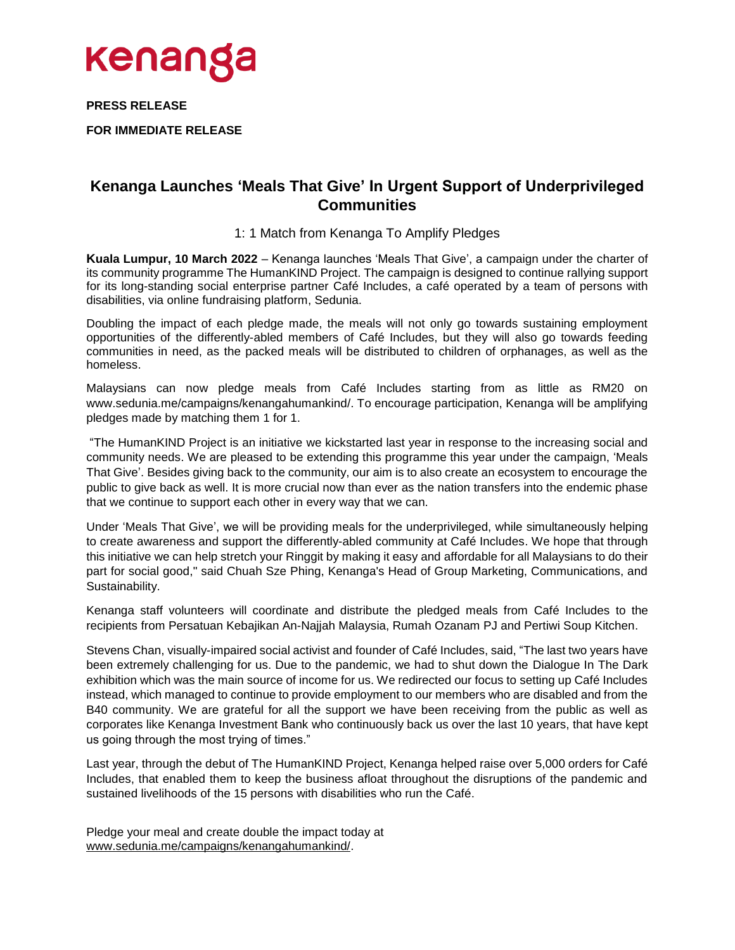

**PRESS RELEASE**

**FOR IMMEDIATE RELEASE**

## **Kenanga Launches 'Meals That Give' In Urgent Support of Underprivileged Communities**

### 1: 1 Match from Kenanga To Amplify Pledges

**Kuala Lumpur, 10 March 2022** – Kenanga launches 'Meals That Give', a campaign under the charter of its community programme The HumanKIND Project. The campaign is designed to continue rallying support for its long-standing social enterprise partner Café Includes, a café operated by a team of persons with disabilities, via online fundraising platform, Sedunia.

Doubling the impact of each pledge made, the meals will not only go towards sustaining employment opportunities of the differently-abled members of Café Includes, but they will also go towards feeding communities in need, as the packed meals will be distributed to children of orphanages, as well as the homeless.

Malaysians can now pledge meals from Café Includes starting from as little as RM20 on www.sedunia.me/campaigns/kenangahumankind/. To encourage participation, Kenanga will be amplifying pledges made by matching them 1 for 1.

"The HumanKIND Project is an initiative we kickstarted last year in response to the increasing social and community needs. We are pleased to be extending this programme this year under the campaign, 'Meals That Give'. Besides giving back to the community, our aim is to also create an ecosystem to encourage the public to give back as well. It is more crucial now than ever as the nation transfers into the endemic phase that we continue to support each other in every way that we can.

Under 'Meals That Give', we will be providing meals for the underprivileged, while simultaneously helping to create awareness and support the differently-abled community at Café Includes. We hope that through this initiative we can help stretch your Ringgit by making it easy and affordable for all Malaysians to do their part for social good," said Chuah Sze Phing, Kenanga's Head of Group Marketing, Communications, and Sustainability.

Kenanga staff volunteers will coordinate and distribute the pledged meals from Café Includes to the recipients from Persatuan Kebajikan An-Najjah Malaysia, Rumah Ozanam PJ and Pertiwi Soup Kitchen.

Stevens Chan, visually-impaired social activist and founder of Café Includes, said, "The last two years have been extremely challenging for us. Due to the pandemic, we had to shut down the Dialogue In The Dark exhibition which was the main source of income for us. We redirected our focus to setting up Café Includes instead, which managed to continue to provide employment to our members who are disabled and from the B40 community. We are grateful for all the support we have been receiving from the public as well as corporates like Kenanga Investment Bank who continuously back us over the last 10 years, that have kept us going through the most trying of times."

Last year, through the debut of The HumanKIND Project, Kenanga helped raise over 5,000 orders for Café Includes, that enabled them to keep the business afloat throughout the disruptions of the pandemic and sustained livelihoods of the 15 persons with disabilities who run the Café.

Pledge your meal and create double the impact today at [www.sedunia.me/campaigns/kenangahumankind/.](http://www.sedunia.me/campaigns/kenangahumankind/)